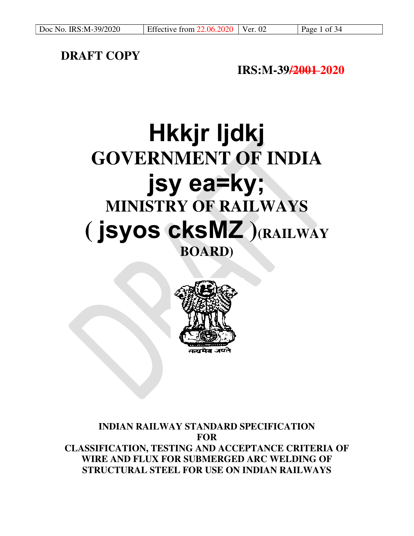# **DRAFT COPY**

# **IRS:M-39/2001 2020**

# **Hkkjr ljdkj GOVERNMENT OF INDIA jsy ea=ky; MINISTRY OF RAILWAYS ( jsyos cksMZ )(RAILWAY BOARD)**



# **INDIAN RAILWAY STANDARD SPECIFICATION FOR CLASSIFICATION, TESTING AND ACCEPTANCE CRITERIA OF WIRE AND FLUX FOR SUBMERGED ARC WELDING OF STRUCTURAL STEEL FOR USE ON INDIAN RAILWAYS**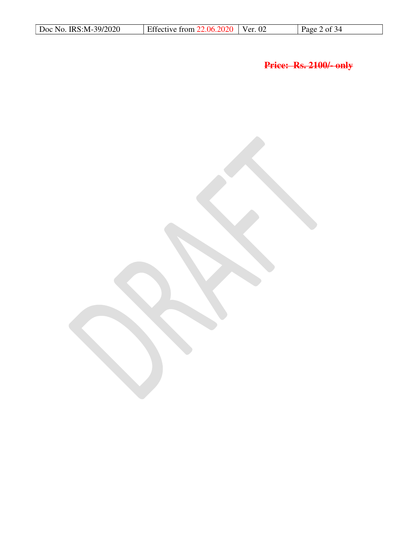| Doc No. IRS:M-39/2020<br>Effective from $22.06.2020$ Ver. 02<br>Page 2 of $34$ |  |
|--------------------------------------------------------------------------------|--|
|--------------------------------------------------------------------------------|--|

**Price: Rs. 2100/- only**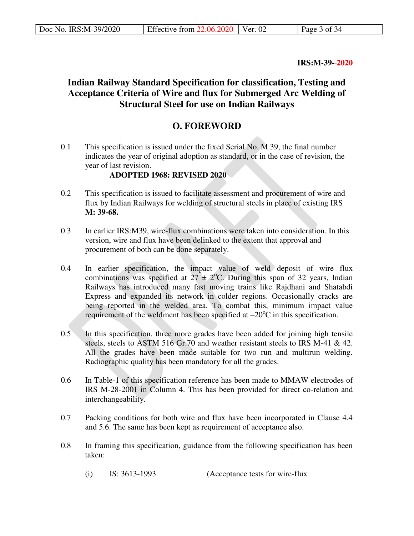**IRS:M-39- 2020** 

# **Indian Railway Standard Specification for classification, Testing and Acceptance Criteria of Wire and flux for Submerged Arc Welding of Structural Steel for use on Indian Railways**

# **O. FOREWORD**

0.1 This specification is issued under the fixed Serial No. M.39, the final number indicates the year of original adoption as standard, or in the case of revision, the year of last revision.

# **ADOPTED 1968: REVISED 2020**

- 0.2 This specification is issued to facilitate assessment and procurement of wire and flux by Indian Railways for welding of structural steels in place of existing IRS **M: 39-68.**
- 0.3 In earlier IRS:M39, wire-flux combinations were taken into consideration. In this version, wire and flux have been delinked to the extent that approval and procurement of both can be done separately.
- 0.4 In earlier specification, the impact value of weld deposit of wire flux combinations was specified at  $27 \pm 2$ °C. During this span of 32 years, Indian Railways has introduced many fast moving trains like Rajdhani and Shatabdi Express and expanded its network in colder regions. Occasionally cracks are being reported in the welded area. To combat this, minimum impact value requirement of the weldment has been specified at  $-20^{\circ}$ C in this specification.
- 0.5 In this specification, three more grades have been added for joining high tensile steels, steels to ASTM 516 Gr.70 and weather resistant steels to IRS M-41 & 42. All the grades have been made suitable for two run and multirun welding. Radiographic quality has been mandatory for all the grades.
- 0.6 In Table-1 of this specification reference has been made to MMAW electrodes of IRS M-28-2001 in Column 4. This has been provided for direct co-relation and interchangeability.
- 0.7 Packing conditions for both wire and flux have been incorporated in Clause 4.4 and 5.6. The same has been kept as requirement of acceptance also.
- 0.8 In framing this specification, guidance from the following specification has been taken:
	- (i) IS: 3613-1993 (Acceptance tests for wire-flux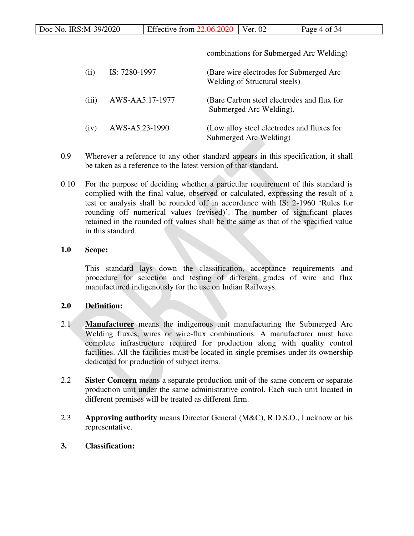| Doc No. IRS:M-39/2020 | Effective from $22.06.2020$   Ver. 02 |  | $\vert$ Page 4 of 34 |
|-----------------------|---------------------------------------|--|----------------------|
|-----------------------|---------------------------------------|--|----------------------|

combinations for Submerged Arc Welding) (ii) IS: 7280-1997 (Bare wire electrodes for Submerged Arc Welding of Structural steels) (iii) AWS-AA5.17-1977 (Bare Carbon steel electrodes and flux for Submerged Arc Welding). (iv) AWS-A5.23-1990 (Low alloy steel electrodes and fluxes for Submerged Arc Welding)

- 0.9 Wherever a reference to any other standard appears in this specification, it shall be taken as a reference to the latest version of that standard.
- 0.10 For the purpose of deciding whether a particular requirement of this standard is complied with the final value, observed or calculated, expressing the result of a test or analysis shall be rounded off in accordance with IS: 2-1960 'Rules for rounding off numerical values (revised)'. The number of significant places retained in the rounded off values shall be the same as that of the specified value in this standard.

# **1.0 Scope:**

This standard lays down the classification, acceptance requirements and procedure for selection and testing of different grades of wire and flux manufactured indigenously for the use on Indian Railways.

# **2.0 Definition:**

- 2.1 **Manufacturer** means the indigenous unit manufacturing the Submerged Arc Welding fluxes, wires or wire-flux combinations. A manufacturer must have complete infrastructure required for production along with quality control facilities. All the facilities must be located in single premises under its ownership dedicated for production of subject items.
- 2.2 **Sister Concern** means a separate production unit of the same concern or separate production unit under the same administrative control. Each such unit located in different premises will be treated as different firm.
- 2.3 **Approving authority** means Director General (M&C), R.D.S.O., Lucknow or his representative.
- **3. Classification:**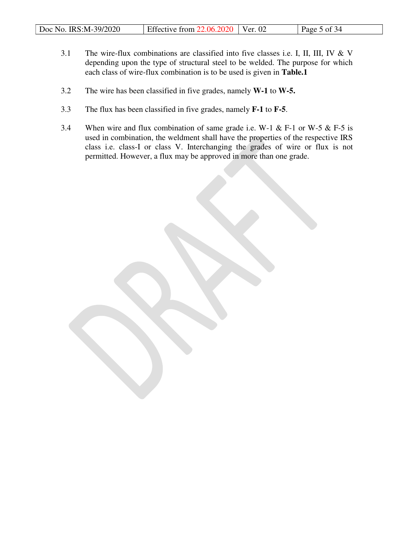| Doc No. IRS:M-39/2020 | Effective from $22.06.2020$ Ver. 02 |  | Page 5 of $34$ |
|-----------------------|-------------------------------------|--|----------------|
|-----------------------|-------------------------------------|--|----------------|

- 3.1 The wire-flux combinations are classified into five classes i.e. I, II, III, IV & V depending upon the type of structural steel to be welded. The purpose for which each class of wire-flux combination is to be used is given in **Table.1**
- 3.2 The wire has been classified in five grades, namely **W-1** to **W-5.**
- 3.3 The flux has been classified in five grades, namely **F-1** to **F-5**.
- 3.4 When wire and flux combination of same grade i.e. W-1 & F-1 or W-5 & F-5 is used in combination, the weldment shall have the properties of the respective IRS class i.e. class-I or class V. Interchanging the grades of wire or flux is not permitted. However, a flux may be approved in more than one grade.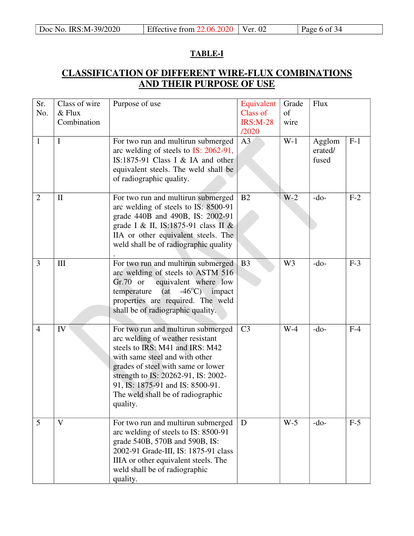# **TABLE-I**

# **CLASSIFICATION OF DIFFERENT WIRE-FLUX COMBINATIONS AND THEIR PURPOSE OF USE**

| Sr.<br>No.     | Class of wire<br>$&$ Flux<br>Combination | Purpose of use                                                                                                                                                                                                                                                                                                | Equivalent<br>Class of<br><b>IRS:M-28</b><br>/2020 | Grade<br>of<br>wire | <b>Flux</b>                |       |
|----------------|------------------------------------------|---------------------------------------------------------------------------------------------------------------------------------------------------------------------------------------------------------------------------------------------------------------------------------------------------------------|----------------------------------------------------|---------------------|----------------------------|-------|
| 1              | Ι                                        | For two run and multirun submerged<br>arc welding of steels to IS: 2062-91,<br>IS:1875-91 Class I & IA and other<br>equivalent steels. The weld shall be<br>of radiographic quality.                                                                                                                          | A <sub>3</sub>                                     | $W-1$               | Agglom<br>erated/<br>fused | $F-1$ |
| $\overline{2}$ | $\mathbf{I}$                             | For two run and multirun submerged<br>arc welding of steels to IS: 8500-91<br>grade 440B and 490B, IS: 2002-91<br>grade I & II, IS:1875-91 class II &<br>IIA or other equivalent steels. The<br>weld shall be of radiographic quality                                                                         | B2                                                 | $W-2$               | $-do-$                     | $F-2$ |
| 3              | III                                      | For two run and multirun submerged<br>arc welding of steels to ASTM 516<br>$Gr.70$ or<br>equivalent where low<br>$-46^{\circ}$ C) impact<br>(at)<br>temperature<br>properties are required. The weld<br>shall be of radiographic quality.                                                                     | B <sub>3</sub>                                     | W <sub>3</sub>      | $-do-$                     | $F-3$ |
| $\overline{4}$ | IV                                       | For two run and multirun submerged<br>arc welding of weather resistant<br>steels to IRS: M41 and IRS: M42<br>with same steel and with other<br>grades of steel with same or lower<br>strength to IS: 20262-91, IS: 2002-<br>91, IS: 1875-91 and IS: 8500-91.<br>The weld shall be of radiographic<br>quality. | C <sub>3</sub>                                     | $W-4$               | $-do-$                     | $F-4$ |
| 5              | V                                        | For two run and multirun submerged<br>arc welding of steels to IS: 8500-91<br>grade 540B, 570B and 590B, IS:<br>2002-91 Grade-III, IS: 1875-91 class<br>IIIA or other equivalent steels. The<br>weld shall be of radiographic<br>quality.                                                                     | D                                                  | $W-5$               | $-do-$                     | $F-5$ |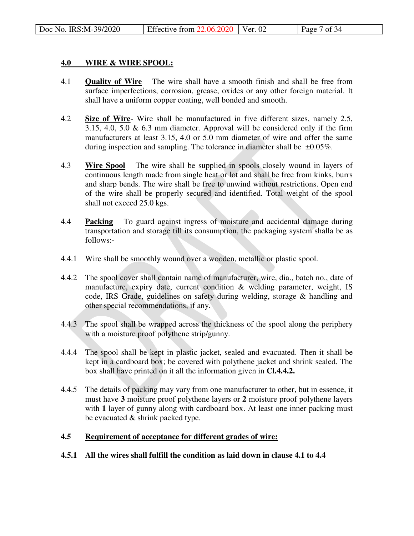#### **4.0 WIRE & WIRE SPOOL:**

- 4.1 **Quality of Wire** The wire shall have a smooth finish and shall be free from surface imperfections, corrosion, grease, oxides or any other foreign material. It shall have a uniform copper coating, well bonded and smooth.
- 4.2 **Size of Wire** Wire shall be manufactured in five different sizes, namely 2.5, 3.15, 4.0, 5.0  $\&$  6.3 mm diameter. Approval will be considered only if the firm manufacturers at least 3.15, 4.0 or 5.0 mm diameter of wire and offer the same during inspection and sampling. The tolerance in diameter shall be  $\pm 0.05\%$ .
- 4.3 **Wire Spool** The wire shall be supplied in spools closely wound in layers of continuous length made from single heat or lot and shall be free from kinks, burrs and sharp bends. The wire shall be free to unwind without restrictions. Open end of the wire shall be properly secured and identified. Total weight of the spool shall not exceed 25.0 kgs.
- 4.4 **Packing** To guard against ingress of moisture and accidental damage during transportation and storage till its consumption, the packaging system shalla be as follows:-
- 4.4.1 Wire shall be smoothly wound over a wooden, metallic or plastic spool.
- 4.4.2 The spool cover shall contain name of manufacturer, wire, dia., batch no., date of manufacture, expiry date, current condition & welding parameter, weight, IS code, IRS Grade, guidelines on safety during welding, storage & handling and other special recommendations, if any.
- 4.4.3 The spool shall be wrapped across the thickness of the spool along the periphery with a moisture proof polythene strip/gunny.
- 4.4.4 The spool shall be kept in plastic jacket, sealed and evacuated. Then it shall be kept in a cardboard box; be covered with polythene jacket and shrink sealed. The box shall have printed on it all the information given in **Cl.4.4.2.**
- 4.4.5 The details of packing may vary from one manufacturer to other, but in essence, it must have **3** moisture proof polythene layers or **2** moisture proof polythene layers with 1 layer of gunny along with cardboard box. At least one inner packing must be evacuated & shrink packed type.

#### **4.5 Requirement of acceptance for different grades of wire:**

**4.5.1 All the wires shall fulfill the condition as laid down in clause 4.1 to 4.4**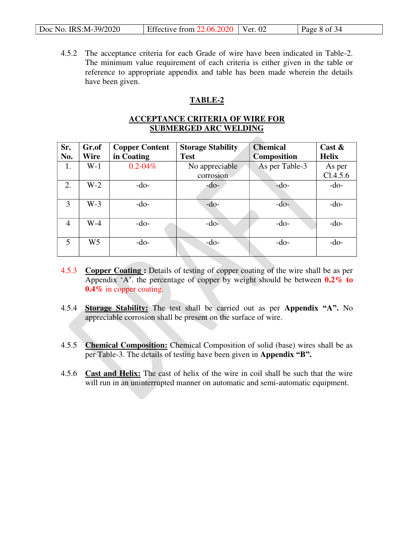| Doc No. IRS:M-39/2020 | Effective from $22.06.2020$   Ver. 02 |  | $\vert$ Page 8 of 34 |
|-----------------------|---------------------------------------|--|----------------------|
|-----------------------|---------------------------------------|--|----------------------|

4.5.2 The acceptance criteria for each Grade of wire have been indicated in Table-2. The minimum value requirement of each criteria is either given in the table or reference to appropriate appendix and table has been made wherein the details have been given.

# **TABLE-2**

# **ACCEPTANCE CRITERIA OF WIRE FOR SUBMERGED ARC WELDING**

**All Contracts** 

| Sr.            | Gr.of | <b>Copper Content</b> | <b>Storage Stability</b> | <b>Chemical</b>    | Cast $\&$    |
|----------------|-------|-----------------------|--------------------------|--------------------|--------------|
| No.            | Wire  | in Coating            | <b>Test</b>              | <b>Composition</b> | <b>Helix</b> |
| 1.             | $W-1$ | $0.2 - 0.4\%$         | No appreciable           | As per Table-3     | As per       |
|                |       |                       | corrosion                |                    | C1.4.5.6     |
| 2.             | $W-2$ | $-do-$                | $-do-$                   | $-do-$             | $-do-$       |
|                |       |                       |                          |                    |              |
| 3              | $W-3$ | $-do-$                | $-do-$                   | $-do-$             | $-do-$       |
|                |       |                       |                          |                    |              |
| $\overline{4}$ | $W-4$ | $-do-$                | $-do-$                   | $-do-$             | $-do-$       |
|                |       |                       |                          |                    |              |
| 5              | W5    | $-do-$                | $-do-$                   | $-do-$             | $-do-$       |
|                |       |                       |                          |                    |              |

- 4.5.3 **Copper Coating :** Details of testing of copper coating of the wire shall be as per Appendix 'A'. the percentage of copper by weight should be between **0.2% to 0.4%** in copper coating.
- 4.5.4 **Storage Stability:** The test shall be carried out as per **Appendix "A".** No appreciable corrosion shall be present on the surface of wire.
- 4.5.5 **Chemical Composition:** Chemical Composition of solid (base) wires shall be as per Table-3. The details of testing have been given in **Appendix "B".**
- 4.5.6 **Cast and Helix:** The cast of helix of the wire in coil shall be such that the wire will run in an uninterrupted manner on automatic and semi-automatic equipment.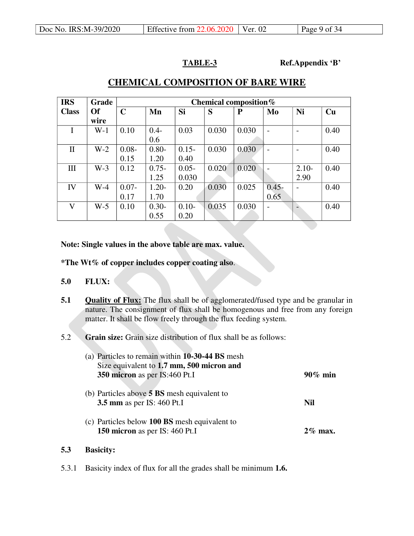**TABLE-3 Ref.Appendix 'B'**

| <b>IRS</b>   | Grade     |             | Chemical composition $%$ |          |       |              |                          |         |      |
|--------------|-----------|-------------|--------------------------|----------|-------|--------------|--------------------------|---------|------|
| <b>Class</b> | <b>Of</b> | $\mathbf C$ | Mn                       | Si       | S     | $\mathbf{P}$ | Mo                       | Ni      | Cu   |
|              | wire      |             |                          |          |       |              |                          |         |      |
| I            | $W-1$     | 0.10        | $0.4 -$                  | 0.03     | 0.030 | 0.030        |                          |         | 0.40 |
|              |           |             | 0.6                      |          |       |              |                          |         |      |
| $\mathbf{I}$ | $W-2$     | $0.08 -$    | $0.80 -$                 | $0.15 -$ | 0.030 | 0.030        | -                        |         | 0.40 |
|              |           | 0.15        | 1.20                     | 0.40     |       |              |                          |         |      |
| III          | $W-3$     | 0.12        | $0.75 -$                 | $0.05 -$ | 0.020 | 0.020        |                          | $2.10-$ | 0.40 |
|              |           |             | 1.25                     | 0.030    |       |              |                          | 2.90    |      |
| IV           | $W-4$     | $0.07 -$    | $1.20 -$                 | 0.20     | 0.030 | 0.025        | $0.45 -$                 |         | 0.40 |
|              |           | 0.17        | 1.70                     |          |       |              | 0.65                     |         |      |
| $\mathbf{V}$ | $W-5$     | 0.10        | $0.30 -$                 | $0.10 -$ | 0.035 | 0.030        | $\overline{\phantom{a}}$ |         | 0.40 |
|              |           |             | 0.55                     | 0.20     |       |              |                          |         |      |

# **CHEMICAL COMPOSITION OF BARE WIRE**

# **Note: Single values in the above table are max. value.**

- **\*The Wt% of copper includes copper coating also**.
- **5.0 FLUX:**
- **5.1 Quality of Flux:** The flux shall be of agglomerated/fused type and be granular in nature. The consignment of flux shall be homogenous and free from any foreign matter. It shall be flow freely through the flux feeding system.
- 5.2 **Grain size:** Grain size distribution of flux shall be as follows:

| (a) Particles to remain within 10-30-44 BS mesh                                         |            |
|-----------------------------------------------------------------------------------------|------------|
| Size equivalent to 1.7 mm, 500 micron and<br>350 micron as per IS:460 Pt.I              | $90\%$ min |
| (b) Particles above <b>5 BS</b> mesh equivalent to<br><b>3.5 mm</b> as per IS: 460 Pt.I | Nil        |
| (c) Particles below <b>100 BS</b> mesh equivalent to<br>150 micron as per IS: 460 Pt.I  | $2\%$ max. |

# **5.3 Basicity:**

5.3.1 Basicity index of flux for all the grades shall be minimum **1.6.**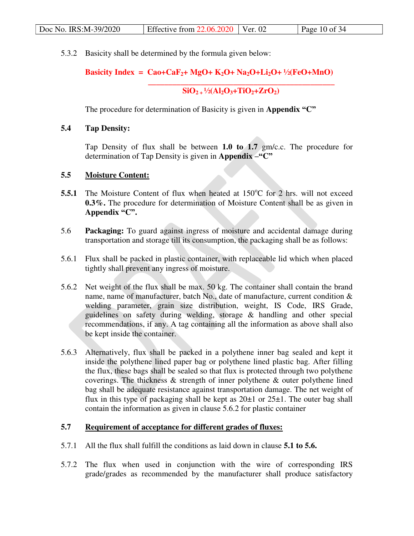| Effective from $22.06.2020$ Ver. 02<br>Doc No. IRS:M-39/2020<br>Page 10 of 34 |  |
|-------------------------------------------------------------------------------|--|
|-------------------------------------------------------------------------------|--|

5.3.2 Basicity shall be determined by the formula given below:

# **Basicity Index = Cao+CaF**<sub>2</sub>**+ MgO+ K**<sub>2</sub>**O+ Na**<sub>2</sub>**O+Li**<sub>2</sub>**O+** <sup>1</sup>/<sub>2</sub>(FeO+MnO)

 **\_\_\_\_\_\_\_\_\_\_\_\_\_\_\_\_\_\_\_\_\_\_\_\_\_\_\_\_\_\_\_\_\_\_\_\_\_\_\_\_\_\_\_\_\_\_**   $SIO_{2+}\frac{1}{2}(Al_2O_3+TiO_2+ZrO_2)$ 

The procedure for determination of Basicity is given in **Appendix "C"**

# **5.4 Tap Density:**

Tap Density of flux shall be between **1.0 to 1.7** gm/c.c. The procedure for determination of Tap Density is given in **Appendix –"C"**

# **5.5 Moisture Content:**

- **5.5.1** The Moisture Content of flux when heated at  $150^{\circ}$ C for 2 hrs. will not exceed **0.3%.** The procedure for determination of Moisture Content shall be as given in **Appendix "C".**
- 5.6 **Packaging:** To guard against ingress of moisture and accidental damage during transportation and storage till its consumption, the packaging shall be as follows:
- 5.6.1 Flux shall be packed in plastic container, with replaceable lid which when placed tightly shall prevent any ingress of moisture.
- 5.6.2 Net weight of the flux shall be max. 50 kg. The container shall contain the brand name, name of manufacturer, batch No., date of manufacture, current condition & welding parameter, grain size distribution, weight, IS Code, IRS Grade, guidelines on safety during welding, storage & handling and other special recommendations, if any. A tag containing all the information as above shall also be kept inside the container.
- 5.6.3 Alternatively, flux shall be packed in a polythene inner bag sealed and kept it inside the polythene lined paper bag or polythene lined plastic bag. After filling the flux, these bags shall be sealed so that flux is protected through two polythene coverings. The thickness  $\&$  strength of inner polythene  $\&$  outer polythene lined bag shall be adequate resistance against transportation damage. The net weight of flux in this type of packaging shall be kept as  $20\pm 1$  or  $25\pm 1$ . The outer bag shall contain the information as given in clause 5.6.2 for plastic container

# **5.7 Requirement of acceptance for different grades of fluxes:**

- 5.7.1 All the flux shall fulfill the conditions as laid down in clause **5.1 to 5.6.**
- 5.7.2 The flux when used in conjunction with the wire of corresponding IRS grade/grades as recommended by the manufacturer shall produce satisfactory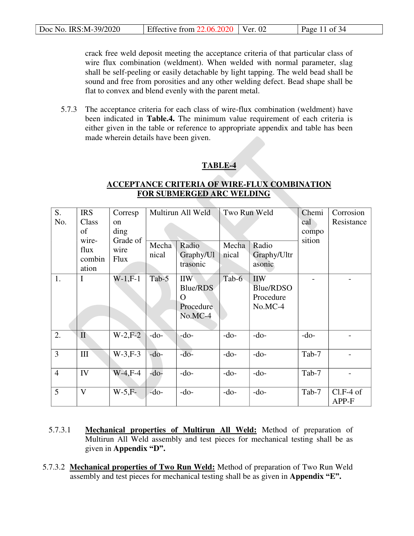| Doc No. IRS:M-39/2020 | Effective from $22.06.2020$ Ver. 02 |  | Page 11 of $34$ |
|-----------------------|-------------------------------------|--|-----------------|
|-----------------------|-------------------------------------|--|-----------------|

crack free weld deposit meeting the acceptance criteria of that particular class of wire flux combination (weldment). When welded with normal parameter, slag shall be self-peeling or easily detachable by light tapping. The weld bead shall be sound and free from porosities and any other welding defect. Bead shape shall be flat to convex and blend evenly with the parent metal.

5.7.3 The acceptance criteria for each class of wire-flux combination (weldment) have been indicated in **Table.4.** The minimum value requirement of each criteria is either given in the table or reference to appropriate appendix and table has been made wherein details have been given.

# **TABLE-4**

# **ACCEPTANCE CRITERIA OF WIRE-FLUX COMBINATION FOR SUBMERGED ARC WELDING**

| S.             | <b>IRS</b>   | Corresp          |        | Multirun All Weld     | Two Run Weld |                       | Chemi           | Corrosion   |
|----------------|--------------|------------------|--------|-----------------------|--------------|-----------------------|-----------------|-------------|
| No.            | Class        | <sub>on</sub>    |        |                       |              |                       | cal             | Resistance  |
|                | of<br>wire-  | ding<br>Grade of |        |                       |              |                       | compo<br>sition |             |
|                | flux         | wire             | Mecha  | Radio                 | Mecha        | Radio                 |                 |             |
|                | combin       | <b>Flux</b>      | nical  | Graphy/Ul<br>trasonic | nical        | Graphy/Ultr<br>asonic |                 |             |
|                | ation        |                  |        |                       |              |                       |                 |             |
| 1.             | I            | $W-1, F-1$       | Tab-5  | <b>IIW</b>            | Tab-6        | <b>IIW</b>            |                 |             |
|                |              |                  |        | Blue/RDS              |              | Blue/RDSO             |                 |             |
|                |              |                  |        | $\mathcal{L}$         |              | Procedure             |                 |             |
|                |              |                  |        | Procedure             |              | $No.MC-4$             |                 |             |
|                |              |                  |        | No.MC-4               |              |                       |                 |             |
|                |              |                  |        |                       |              |                       |                 |             |
| 2.             | $\mathbf{I}$ | $W-2, F-2$       | $-do-$ | $-do-$                | $-do-$       | $-do-$                | $-do-$          |             |
|                |              |                  |        |                       |              |                       |                 |             |
| $\overline{3}$ | $\rm III$    | $W-3, F-3$       | $-do-$ | $-do-$                | $-do-$       | $-do-$                | Tab-7           |             |
|                |              |                  |        |                       |              |                       |                 |             |
| $\overline{4}$ | IV           | $W-4, F-4$       | $-do-$ | $-do-$                | $-do-$       | $-do-$                | Tab-7           |             |
|                |              |                  |        |                       |              |                       |                 |             |
| 5              | $\mathbf{V}$ | $W-5, F-$        | $-do-$ | $-do-$                | $-do-$       | $-do-$                | Tab-7           | $Cl.F-4$ of |
|                |              |                  |        |                       |              |                       |                 | APP-F       |

- 5.7.3.1 **Mechanical properties of Multirun All Weld:** Method of preparation of Multirun All Weld assembly and test pieces for mechanical testing shall be as given in **Appendix "D".**
- 5.7.3.2 **Mechanical properties of Two Run Weld:** Method of preparation of Two Run Weld assembly and test pieces for mechanical testing shall be as given in **Appendix "E".**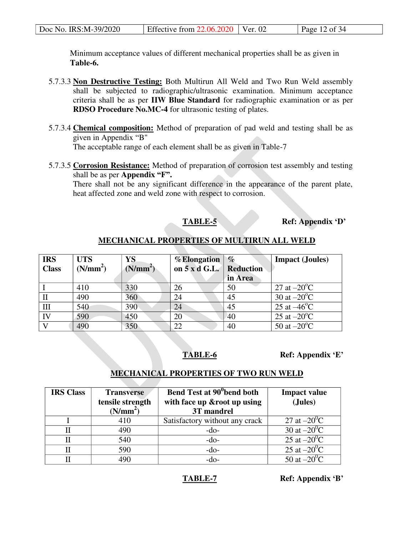| Doc No. IRS:M-39/2020 | Effective from $22.06.2020$   Ver. 02 |  | Page 12 of $34$ |
|-----------------------|---------------------------------------|--|-----------------|
|-----------------------|---------------------------------------|--|-----------------|

 Minimum acceptance values of different mechanical properties shall be as given in **Table-6.**

- 5.7.3.3 **Non Destructive Testing:** Both Multirun All Weld and Two Run Weld assembly shall be subjected to radiographic/ultrasonic examination. Minimum acceptance criteria shall be as per **IIW Blue Standard** for radiographic examination or as per **RDSO Procedure No.MC-4** for ultrasonic testing of plates.
- 5.7.3.4 **Chemical composition:** Method of preparation of pad weld and testing shall be as given in Appendix "B" The acceptable range of each element shall be as given in Table-7
- 5.7.3.5 **Corrosion Resistance:** Method of preparation of corrosion test assembly and testing shall be as per **Appendix "F".**

There shall not be any significant difference in the appearance of the parent plate, heat affected zone and weld zone with respect to corrosion.

**TABLE-5 Ref: Appendix 'D'**

# **MECHANICAL PROPERTIES OF MULTIRUN ALL WELD**

| <b>IRS</b>     | <b>UTS</b>           | YS                   | % Elongation            | $\%$    | <b>Impact</b> ( <b>Joules</b> ) |
|----------------|----------------------|----------------------|-------------------------|---------|---------------------------------|
| <b>Class</b>   | (N/mm <sup>2</sup> ) | (N/mm <sup>2</sup> ) | on 5 x d G.L. Reduction |         |                                 |
|                |                      |                      |                         | in Area |                                 |
|                | 410                  | 330                  | 26                      | 50      | 27 at $-20^{\circ}$ C           |
| $\mathbf{I}$   | 490                  | 360                  | 24                      | 45      | 30 at $-20^{\circ}$ C           |
| Ш              | 540                  | 390                  | 24                      | 45      | 25 at $-46^{\circ}$ C           |
| $\overline{N}$ | 590                  | 450                  | 20                      | 40      | 25 at $-20^{\circ}$ C           |
|                | 490                  | 350                  | 22                      | 40      | 50 at $-20^{\circ}$ C           |

**TABLE-6 Ref: Appendix 'E'**

# **MECHANICAL PROPERTIES OF TWO RUN WELD**

| <b>IRS Class</b> | <b>Transverse</b><br>tensile strength | Bend Test at 90 <sup>°</sup> bend both<br>with face up & root up using | <b>Impact value</b><br>(Jules) |
|------------------|---------------------------------------|------------------------------------------------------------------------|--------------------------------|
|                  | (N/mm <sup>2</sup> )                  | 3T mandrel                                                             |                                |
|                  | 410                                   | Satisfactory without any crack                                         | 27 at $-20^{\circ}$ C          |
|                  | 490                                   | $-do-$                                                                 | 30 at $-20^0C$                 |
|                  | 540                                   | $-do-$                                                                 | 25 at $-20^0C$                 |
|                  | 590                                   | $-do-$                                                                 | 25 at $-20^0C$                 |
|                  | 490                                   | $-do-$                                                                 | 50 at $-20^0C$                 |

**TABLE-7 Ref: Appendix 'B'**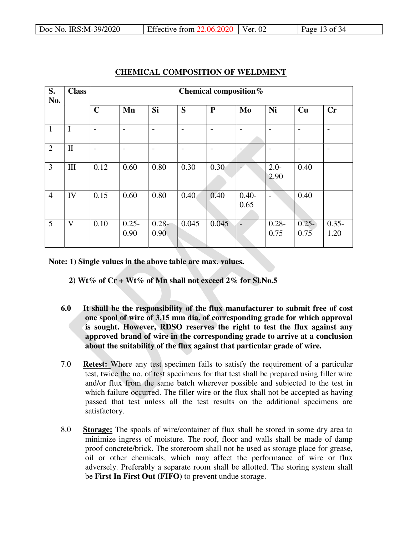| S.<br>No.      | <b>Class</b> | Chemical composition%    |                          |                  |                |                          |                  |                          |                          |                  |
|----------------|--------------|--------------------------|--------------------------|------------------|----------------|--------------------------|------------------|--------------------------|--------------------------|------------------|
|                |              | $\mathbf C$              | Mn                       | Si               | S              | ${\bf P}$                | Mo               | Ni                       | Cu                       | Cr               |
| $\mathbf{1}$   | $\mathbf I$  | $\overline{\phantom{a}}$ | $\overline{\phantom{0}}$ | $\overline{a}$   | $\overline{a}$ | $\overline{\phantom{a}}$ | $\overline{a}$   | $\overline{\phantom{a}}$ | $\overline{\phantom{a}}$ |                  |
| $\overline{2}$ | $\mathbf{I}$ | $\overline{\phantom{a}}$ | $\overline{\phantom{0}}$ | $\overline{a}$   | $\overline{a}$ | $\overline{\phantom{a}}$ |                  | $\overline{\phantom{0}}$ | $\overline{\phantom{0}}$ |                  |
| 3              | III          | 0.12                     | 0.60                     | 0.80             | 0.30           | 0.30                     |                  | $2.0 -$<br>2.90          | 0.40                     |                  |
| $\overline{4}$ | IV           | 0.15                     | 0.60                     | 0.80             | 0.40           | 0.40                     | $0.40 -$<br>0.65 | $\overline{a}$           | 0.40                     |                  |
| 5              | V            | 0.10                     | $0.25 -$<br>0.90         | $0.28 -$<br>0.90 | 0.045          | 0.045                    | $\overline{a}$   | $0.28 -$<br>0.75         | $0.25 -$<br>0.75         | $0.35 -$<br>1.20 |

# **CHEMICAL COMPOSITION OF WELDMENT**

**Note: 1) Single values in the above table are max. values.** 

 **2) Wt% of Cr + Wt% of Mn shall not exceed 2% for Sl.No.5** 

- **6.0 It shall be the responsibility of the flux manufacturer to submit free of cost one spool of wire of 3.15 mm dia. of corresponding grade for which approval is sought. However, RDSO reserves the right to test the flux against any approved brand of wire in the corresponding grade to arrive at a conclusion about the suitability of the flux against that particular grade of wire.**
- 7.0 **Retest:** Where any test specimen fails to satisfy the requirement of a particular test, twice the no. of test specimens for that test shall be prepared using filler wire and/or flux from the same batch wherever possible and subjected to the test in which failure occurred. The filler wire or the flux shall not be accepted as having passed that test unless all the test results on the additional specimens are satisfactory.
- 8.0 **Storage:** The spools of wire/container of flux shall be stored in some dry area to minimize ingress of moisture. The roof, floor and walls shall be made of damp proof concrete/brick. The storeroom shall not be used as storage place for grease, oil or other chemicals, which may affect the performance of wire or flux adversely. Preferably a separate room shall be allotted. The storing system shall be **First In First Out (FIFO)** to prevent undue storage.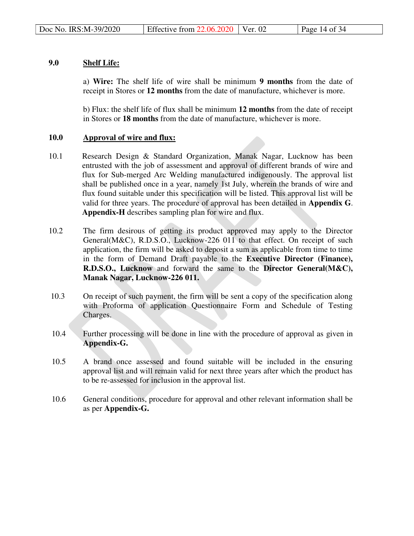# **9.0 Shelf Life:**

a) **Wire:** The shelf life of wire shall be minimum **9 months** from the date of receipt in Stores or **12 months** from the date of manufacture, whichever is more.

b) Flux: the shelf life of flux shall be minimum **12 months** from the date of receipt in Stores or **18 months** from the date of manufacture, whichever is more.

# **10.0 Approval of wire and flux:**

- 10.1 Research Design & Standard Organization, Manak Nagar, Lucknow has been entrusted with the job of assessment and approval of different brands of wire and flux for Sub-merged Arc Welding manufactured indigenously. The approval list shall be published once in a year, namely 1st July, wherein the brands of wire and flux found suitable under this specification will be listed. This approval list will be valid for three years. The procedure of approval has been detailed in **Appendix G**. **Appendix-H** describes sampling plan for wire and flux.
- 10.2 The firm desirous of getting its product approved may apply to the Director General(M&C), R.D.S.O., Lucknow-226 011 to that effect. On receipt of such application, the firm will be asked to deposit a sum as applicable from time to time in the form of Demand Draft payable to the **Executive Director (Finance), R.D.S.O., Lucknow** and forward the same to the **Director General(M&C), Manak Nagar, Lucknow-226 011.**
- 10.3 On receipt of such payment, the firm will be sent a copy of the specification along with Proforma of application Questionnaire Form and Schedule of Testing Charges.
- 10.4 Further processing will be done in line with the procedure of approval as given in **Appendix-G.**
- 10.5 A brand once assessed and found suitable will be included in the ensuring approval list and will remain valid for next three years after which the product has to be re-assessed for inclusion in the approval list.
- 10.6 General conditions, procedure for approval and other relevant information shall be as per **Appendix-G.**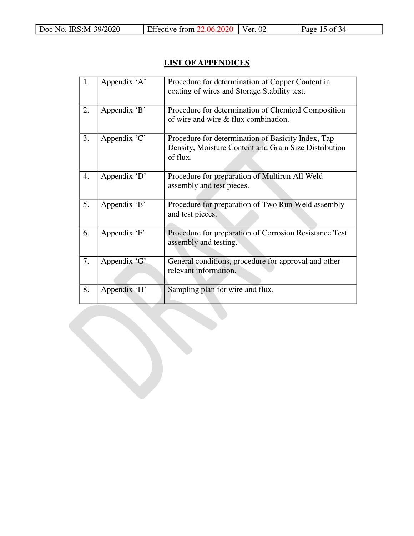# **LIST OF APPENDICES**

| 1. | Appendix 'A' | Procedure for determination of Copper Content in<br>coating of wires and Storage Stability test.                        |
|----|--------------|-------------------------------------------------------------------------------------------------------------------------|
| 2. | Appendix 'B' | Procedure for determination of Chemical Composition<br>of wire and wire & flux combination.                             |
| 3. | Appendix 'C' | Procedure for determination of Basicity Index, Tap<br>Density, Moisture Content and Grain Size Distribution<br>of flux. |
| 4. | Appendix 'D' | Procedure for preparation of Multirun All Weld<br>assembly and test pieces.                                             |
| 5. | Appendix 'E' | Procedure for preparation of Two Run Weld assembly<br>and test pieces.                                                  |
| 6. | Appendix 'F' | Procedure for preparation of Corrosion Resistance Test<br>assembly and testing.                                         |
| 7. | Appendix 'G' | General conditions, procedure for approval and other<br>relevant information.                                           |
| 8. | Appendix 'H' | Sampling plan for wire and flux.                                                                                        |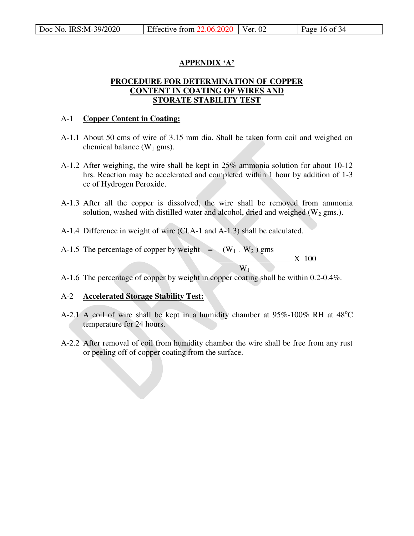# **APPENDIX 'A'**

# **PROCEDURE FOR DETERMINATION OF COPPER CONTENT IN COATING OF WIRES AND STORATE STABILITY TEST**

# A-1 **Copper Content in Coating:**

- A-1.1 About 50 cms of wire of 3.15 mm dia. Shall be taken form coil and weighed on chemical balance  $(W_1 \text{ gms})$ .
- A-1.2 After weighing, the wire shall be kept in 25% ammonia solution for about 10-12 hrs. Reaction may be accelerated and completed within 1 hour by addition of 1-3 cc of Hydrogen Peroxide.
- A-1.3 After all the copper is dissolved, the wire shall be removed from ammonia solution, washed with distilled water and alcohol, dried and weighed  $(W_2 \text{ gms.})$ .
- A-1.4 Difference in weight of wire (Cl.A-1 and A-1.3) shall be calculated.
- A-1.5 The percentage of copper by weight  $=$   $(W_1 \cdot W_2)$  gms  $\underline{W_1}$   $X$  100  $W_1$
- A-1.6 The percentage of copper by weight in copper coating shall be within 0.2-0.4%.

# A-2 **Accelerated Storage Stability Test:**

- A-2.1 A coil of wire shall be kept in a humidity chamber at  $95\%$ -100% RH at  $48^{\circ}$ C temperature for 24 hours.
- A-2.2 After removal of coil from humidity chamber the wire shall be free from any rust or peeling off of copper coating from the surface.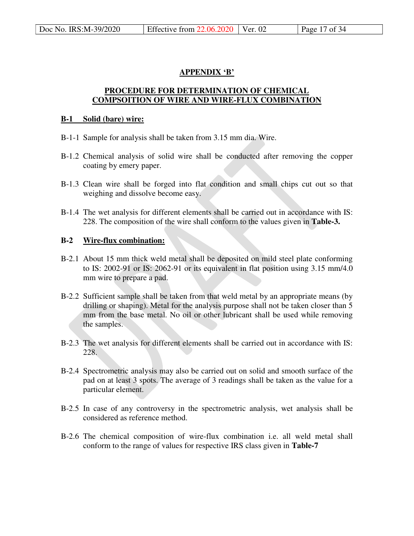# **APPENDIX 'B'**

# **PROCEDURE FOR DETERMINATION OF CHEMICAL COMPSOITION OF WIRE AND WIRE-FLUX COMBINATION**

#### **B-1 Solid (bare) wire:**

- B-1-1 Sample for analysis shall be taken from 3.15 mm dia. Wire.
- B-1.2 Chemical analysis of solid wire shall be conducted after removing the copper coating by emery paper.
- B-1.3 Clean wire shall be forged into flat condition and small chips cut out so that weighing and dissolve become easy.
- B-1.4 The wet analysis for different elements shall be carried out in accordance with IS: 228. The composition of the wire shall conform to the values given in **Table-3.**

# **B-2 Wire-flux combination:**

- B-2.1 About 15 mm thick weld metal shall be deposited on mild steel plate conforming to IS: 2002-91 or IS: 2062-91 or its equivalent in flat position using 3.15 mm/4.0 mm wire to prepare a pad.
- B-2.2 Sufficient sample shall be taken from that weld metal by an appropriate means (by drilling or shaping). Metal for the analysis purpose shall not be taken closer than 5 mm from the base metal. No oil or other lubricant shall be used while removing the samples.
- B-2.3 The wet analysis for different elements shall be carried out in accordance with IS: 228.
- B-2.4 Spectrometric analysis may also be carried out on solid and smooth surface of the pad on at least 3 spots. The average of 3 readings shall be taken as the value for a particular element.
- B-2.5 In case of any controversy in the spectrometric analysis, wet analysis shall be considered as reference method.
- B-2.6 The chemical composition of wire-flux combination i.e. all weld metal shall conform to the range of values for respective IRS class given in **Table-7**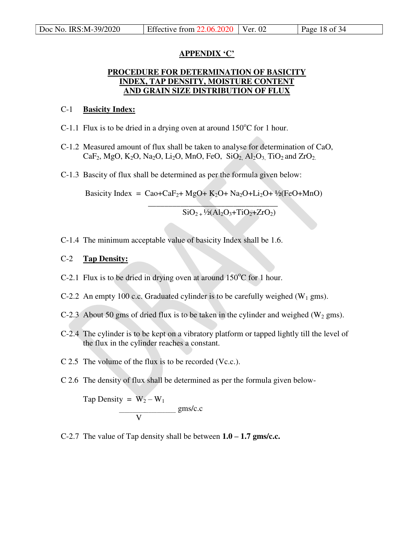# **APPENDIX 'C'**

# **PROCEDURE FOR DETERMINATION OF BASICITY INDEX, TAP DENSITY, MOISTURE CONTENT AND GRAIN SIZE DISTRIBUTION OF FLUX**

# C-1 **Basicity Index:**

C-1.1 Flux is to be dried in a drying oven at around  $150^{\circ}$ C for 1 hour.

- C-1.2 Measured amount of flux shall be taken to analyse for determination of CaO, CaF<sub>2</sub>, MgO, K<sub>2</sub>O, Na<sub>2</sub>O, Li<sub>2</sub>O, MnO, FeO, SiO<sub>2</sub>, Al<sub>2</sub>O<sub>3</sub>, TiO<sub>2</sub> and ZrO<sub>2.</sub>
- C-1.3 Bascity of flux shall be determined as per the formula given below:

 $\mathcal{L}_\text{max}$  and  $\mathcal{L}_\text{max}$  and  $\mathcal{L}_\text{max}$  and  $\mathcal{L}_\text{max}$ 

Basicity Index = Cao+CaF<sub>2</sub>+ MgO+ K<sub>2</sub>O+ Na<sub>2</sub>O+Li<sub>2</sub>O+ <sup>1</sup>/<sub>2</sub>(FeO+MnO)

 $\overline{SiO_{2+} \frac{1}{2}(Al_2O_3+TiO_2+ZrO_2)}$ 

C-1.4 The minimum acceptable value of basicity Index shall be 1.6.

# C-2 **Tap Density:**

- C-2.1 Flux is to be dried in drying oven at around  $150^{\circ}$ C for 1 hour.
- C-2.2 An empty 100 c.c. Graduated cylinder is to be carefully weighed  $(W_1 \text{ gms})$ .
- C-2.3 About 50 gms of dried flux is to be taken in the cylinder and weighed  $(W_2$  gms).
- C-2.4 The cylinder is to be kept on a vibratory platform or tapped lightly till the level of the flux in the cylinder reaches a constant.
- C 2.5 The volume of the flux is to be recorded (Vc.c.).
- C 2.6 The density of flux shall be determined as per the formula given below-

Tap Density =  $W_2 - W_1$  $\frac{gms/c.c}{gms/c.c}$ V

C-2.7 The value of Tap density shall be between  $1.0 - 1.7$  gms/c.c.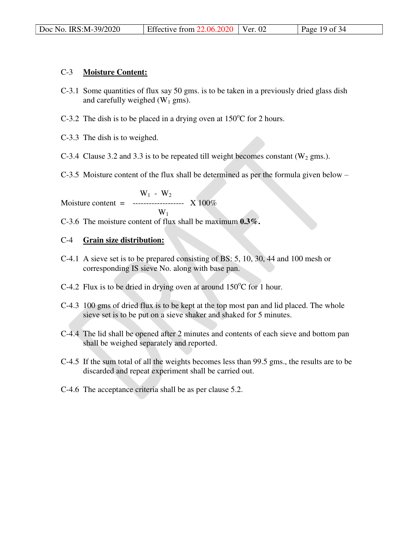# C-3 **Moisture Content:**

- C-3.1 Some quantities of flux say 50 gms. is to be taken in a previously dried glass dish and carefully weighed  $(W_1 \text{ gms})$ .
- C-3.2 The dish is to be placed in a drying oven at  $150^{\circ}$ C for 2 hours.
- C-3.3 The dish is to weighed.
- C-3.4 Clause 3.2 and 3.3 is to be repeated till weight becomes constant  $(W_2 \text{ gms.})$ .
- C-3.5 Moisture content of the flux shall be determined as per the formula given below –

 $W_1$  -  $W_2$ Moisture content =  $\frac{-1}{2}$  ------------------------ X 100%  $W_1$ 

C-3.6 The moisture content of flux shall be maximum **0.3%.**

# C-4 **Grain size distribution:**

- C-4.1 A sieve set is to be prepared consisting of BS: 5, 10, 30, 44 and 100 mesh or corresponding IS sieve No. along with base pan.
- C-4.2 Flux is to be dried in drying oven at around  $150^{\circ}$ C for 1 hour.
- C-4.3 100 gms of dried flux is to be kept at the top most pan and lid placed. The whole sieve set is to be put on a sieve shaker and shaked for 5 minutes.
- C-4.4 The lid shall be opened after 2 minutes and contents of each sieve and bottom pan shall be weighed separately and reported.
- C-4.5 If the sum total of all the weights becomes less than 99.5 gms., the results are to be discarded and repeat experiment shall be carried out.
- C-4.6 The acceptance criteria shall be as per clause 5.2.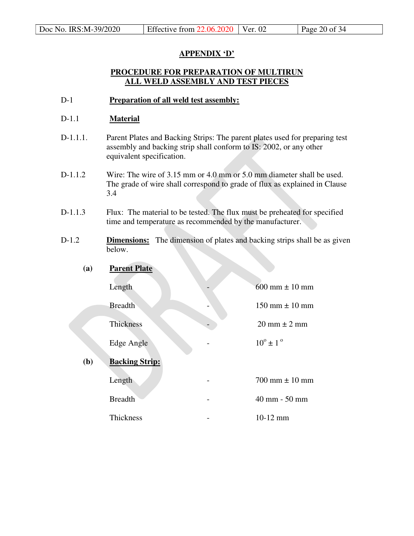# **APPENDIX 'D'**

# **PROCEDURE FOR PREPARATION OF MULTIRUN ALL WELD ASSEMBLY AND TEST PIECES**

D-1 **Preparation of all weld test assembly:**

# D-1.1 **Material**

- D-1.1.1. Parent Plates and Backing Strips: The parent plates used for preparing test assembly and backing strip shall conform to IS: 2002, or any other equivalent specification.
- D-1.1.2 Wire: The wire of 3.15 mm or 4.0 mm or 5.0 mm diameter shall be used. The grade of wire shall correspond to grade of flux as explained in Clause 3.4
- D-1.1.3 Flux: The material to be tested. The flux must be preheated for specified time and temperature as recommended by the manufacturer.
- D-1.2 **Dimensions:** The dimension of plates and backing strips shall be as given below.
	- **(a) Parent Plate**  Length  $-$  600 mm  $\pm$  10 mm  $Breadth$   $150 \text{ mm} \pm 10 \text{ mm}$ Thickness  $20 \text{ mm} \pm 2 \text{ mm}$ Edge Angle  $10^{\circ} \pm 1^{\circ}$ **(b) Backing Strip:**  Length  $\sim$  700 mm  $\pm$  10 mm Breadth - 40 mm - 50 mm Thickness - 10-12 mm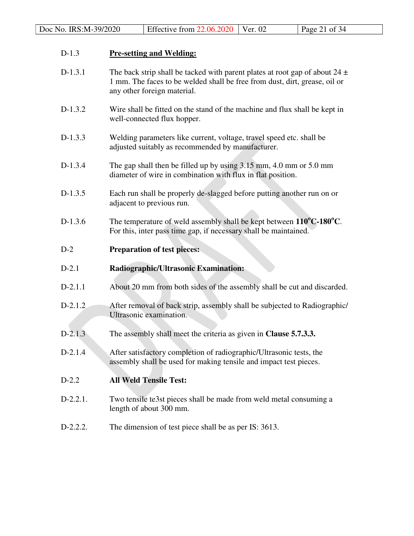# D-1.3 **Pre-setting and Welding:**

- D-1.3.1 The back strip shall be tacked with parent plates at root gap of about  $24 \pm$ 1 mm. The faces to be welded shall be free from dust, dirt, grease, oil or any other foreign material.
- D-1.3.2 Wire shall be fitted on the stand of the machine and flux shall be kept in well-connected flux hopper.
- D-1.3.3 Welding parameters like current, voltage, travel speed etc. shall be adjusted suitably as recommended by manufacturer.
- D-1.3.4 The gap shall then be filled up by using 3.15 mm, 4.0 mm or 5.0 mm diameter of wire in combination with flux in flat position.
- D-1.3.5 Each run shall be properly de-slagged before putting another run on or adjacent to previous run.
- D-1.3.6 The temperature of weld assembly shall be kept between **110<sup>o</sup>C-180<sup>o</sup>C**. For this, inter pass time gap, if necessary shall be maintained.
- D-2 **Preparation of test pieces:**
- D-2.1 **Radiographic/Ultrasonic Examination:**
- D-2.1.1 About 20 mm from both sides of the assembly shall be cut and discarded.
- D-2.1.2 After removal of back strip, assembly shall be subjected to Radiographic/ Ultrasonic examination.
- D-2.1.3 The assembly shall meet the criteria as given in **Clause 5.7.3.3.**
- D-2.1.4 After satisfactory completion of radiographic/Ultrasonic tests, the assembly shall be used for making tensile and impact test pieces.
- D-2.2 **All Weld Tensile Test:**
- D-2.2.1. Two tensile te3st pieces shall be made from weld metal consuming a length of about 300 mm.
- D-2.2.2. The dimension of test piece shall be as per IS: 3613.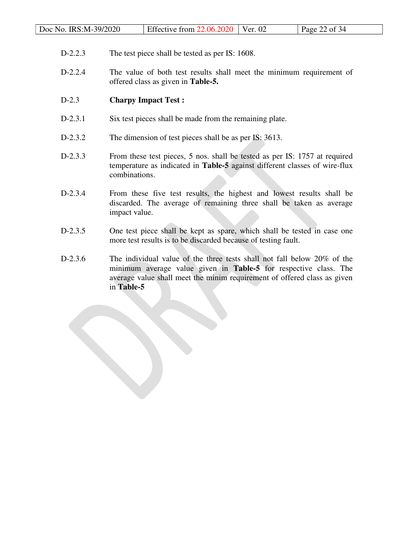| Doc No. IRS:M-39/2020<br>Effective from $22.06.2020$ Ver. 02<br>Page 22 of 34 |  |
|-------------------------------------------------------------------------------|--|
|-------------------------------------------------------------------------------|--|

- D-2.2.3 The test piece shall be tested as per IS: 1608.
- D-2.2.4 The value of both test results shall meet the minimum requirement of offered class as given in **Table-5.**

# D-2.3 **Charpy Impact Test :**

- D-2.3.1 Six test pieces shall be made from the remaining plate.
- D-2.3.2 The dimension of test pieces shall be as per IS: 3613.
- D-2.3.3 From these test pieces, 5 nos. shall be tested as per IS: 1757 at required temperature as indicated in **Table-5** against different classes of wire-flux combinations.
- D-2.3.4 From these five test results, the highest and lowest results shall be discarded. The average of remaining three shall be taken as average impact value.
- D-2.3.5 One test piece shall be kept as spare, which shall be tested in case one more test results is to be discarded because of testing fault.
- D-2.3.6 The individual value of the three tests shall not fall below 20% of the minimum average value given in **Table-5** for respective class. The average value shall meet the minim requirement of offered class as given in **Table-5**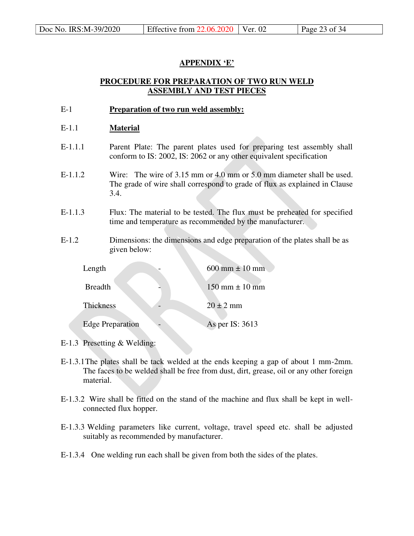# **APPENDIX 'E'**

# **PROCEDURE FOR PREPARATION OF TWO RUN WELD ASSEMBLY AND TEST PIECES**

E-1 **Preparation of two run weld assembly:**

# E-1.1 **Material**

- E-1.1.1 Parent Plate: The parent plates used for preparing test assembly shall conform to IS: 2002, IS: 2062 or any other equivalent specification
- E-1.1.2 Wire: The wire of 3.15 mm or 4.0 mm or 5.0 mm diameter shall be used. The grade of wire shall correspond to grade of flux as explained in Clause 3.4.
- E-1.1.3 Flux: The material to be tested. The flux must be preheated for specified time and temperature as recommended by the manufacturer.
- E-1.2 Dimensions: the dimensions and edge preparation of the plates shall be as given below:

| Length                  | $600 \text{ mm} \pm 10 \text{ mm}$ |
|-------------------------|------------------------------------|
| <b>Breadth</b>          | $150 \text{ mm} \pm 10 \text{ mm}$ |
| Thickness               | $20 \pm 2$ mm                      |
| <b>Edge Preparation</b> | As per IS: 3613                    |

- E-1.3 Presetting & Welding:
- E-1.3.1 The plates shall be tack welded at the ends keeping a gap of about 1 mm-2mm. The faces to be welded shall be free from dust, dirt, grease, oil or any other foreign material.
- E-1.3.2 Wire shall be fitted on the stand of the machine and flux shall be kept in wellconnected flux hopper.
- E-1.3.3 Welding parameters like current, voltage, travel speed etc. shall be adjusted suitably as recommended by manufacturer.
- E-1.3.4 One welding run each shall be given from both the sides of the plates.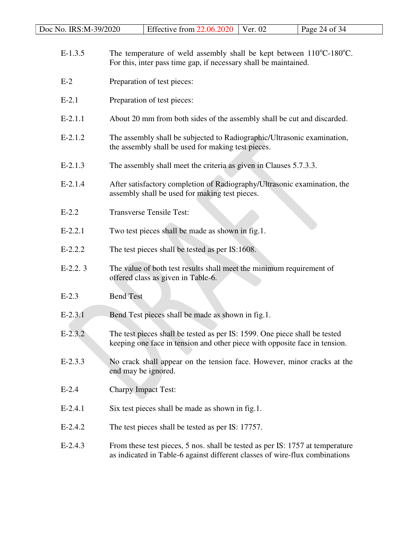| Doc No. IRS:M-39/2020 | Effective from $22.06.2020$   Ver. 02 |  | Page 24 of $34$ |
|-----------------------|---------------------------------------|--|-----------------|
|-----------------------|---------------------------------------|--|-----------------|

- E-1.3.5 The temperature of weld assembly shall be kept between  $110^{\circ}$ C-180<sup>o</sup>C. For this, inter pass time gap, if necessary shall be maintained.
- E-2 Preparation of test pieces:
- E-2.1 Preparation of test pieces:
- E-2.1.1 About 20 mm from both sides of the assembly shall be cut and discarded.
- E-2.1.2 The assembly shall be subjected to Radiographic/Ultrasonic examination, the assembly shall be used for making test pieces.
- E-2.1.3 The assembly shall meet the criteria as given in Clauses 5.7.3.3.
- E-2.1.4 After satisfactory completion of Radiography/Ultrasonic examination, the assembly shall be used for making test pieces.
- E-2.2 Transverse Tensile Test:
- E-2.2.1 Two test pieces shall be made as shown in fig.1.
- E-2.2.2 The test pieces shall be tested as per IS:1608.
- E-2.2. 3 The value of both test results shall meet the minimum requirement of offered class as given in Table-6.
- E-2.3 Bend Test
- E-2.3.1 Bend Test pieces shall be made as shown in fig.1.
- E-2.3.2 The test pieces shall be tested as per IS: 1599. One piece shall be tested keeping one face in tension and other piece with opposite face in tension.
- E-2.3.3 No crack shall appear on the tension face. However, minor cracks at the end may be ignored.
- E-2.4 Charpy Impact Test:
- E-2.4.1 Six test pieces shall be made as shown in fig.1.
- E-2.4.2 The test pieces shall be tested as per IS: 17757.
- E-2.4.3 From these test pieces, 5 nos. shall be tested as per IS: 1757 at temperature as indicated in Table-6 against different classes of wire-flux combinations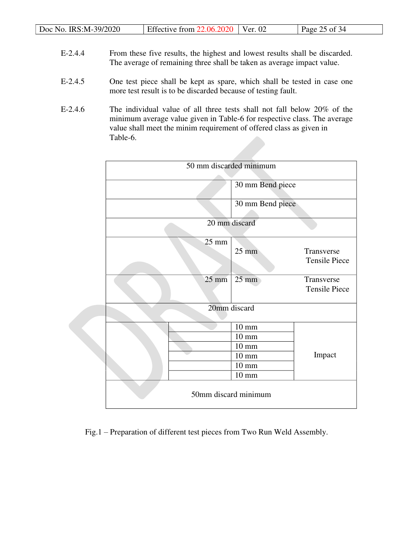| Doc No. IRS:M-39/2020 | Effective from $22.06.2020$   Ver. 02 | Page 25 of 34 |
|-----------------------|---------------------------------------|---------------|

- E-2.4.4 From these five results, the highest and lowest results shall be discarded. The average of remaining three shall be taken as average impact value.
- E-2.4.5 One test piece shall be kept as spare, which shall be tested in case one more test result is to be discarded because of testing fault.
- E-2.4.6 The individual value of all three tests shall not fall below 20% of the minimum average value given in Table-6 for respective class. The average value shall meet the minim requirement of offered class as given in Table-6.

|                 | 50 mm discarded minimum                                                                                        |                                    |
|-----------------|----------------------------------------------------------------------------------------------------------------|------------------------------------|
|                 | 30 mm Bend piece                                                                                               |                                    |
|                 | 30 mm Bend piece                                                                                               |                                    |
|                 | 20 mm discard                                                                                                  |                                    |
| $25 \text{ mm}$ | $25 \text{ mm}$                                                                                                | Transverse<br><b>Tensile Piece</b> |
| $25 \text{ mm}$ | $25 \text{ mm}$                                                                                                | Transverse<br><b>Tensile Piece</b> |
|                 | 20mm discard                                                                                                   |                                    |
|                 | $10 \text{ mm}$<br>$10 \text{ mm}$<br>$10 \text{ mm}$<br>$10 \text{ mm}$<br>$10 \text{ mm}$<br>$10 \text{ mm}$ | Impact                             |
|                 | 50mm discard minimum                                                                                           |                                    |

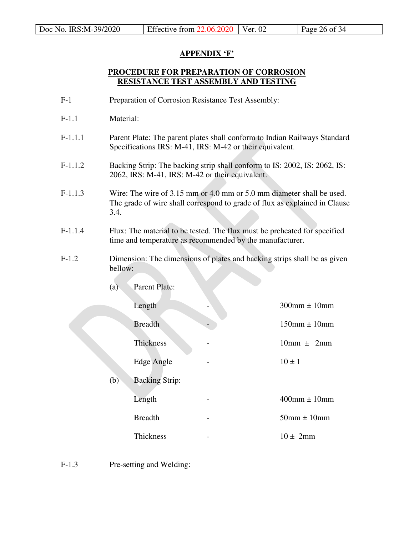# **APPENDIX 'F'**

# **PROCEDURE FOR PREPARATION OF CORROSION RESISTANCE TEST ASSEMBLY AND TESTING**

- F-1 Preparation of Corrosion Resistance Test Assembly:
- F-1.1 Material:
- F-1.1.1 Parent Plate: The parent plates shall conform to Indian Railways Standard Specifications IRS: M-41, IRS: M-42 or their equivalent.
- F-1.1.2 Backing Strip: The backing strip shall conform to IS: 2002, IS: 2062, IS: 2062, IRS: M-41, IRS: M-42 or their equivalent.
- F-1.1.3 Wire: The wire of 3.15 mm or 4.0 mm or 5.0 mm diameter shall be used. The grade of wire shall correspond to grade of flux as explained in Clause 3.4.
- F-1.1.4 Flux: The material to be tested. The flux must be preheated for specified time and temperature as recommended by the manufacturer.
- F-1.2 Dimension: The dimensions of plates and backing strips shall be as given bellow:

| (a) | <b>Parent Plate:</b>  |                      |
|-----|-----------------------|----------------------|
|     | Length                | $300$ mm $\pm 10$ mm |
|     | <b>Breadth</b>        | $150$ mm $\pm 10$ mm |
|     | Thickness             | $10mm \pm 2mm$       |
|     | Edge Angle            | $10 \pm 1$           |
| (b) | <b>Backing Strip:</b> |                      |
|     | Length                | $400$ mm $\pm 10$ mm |
|     | <b>Breadth</b>        | $50$ mm $\pm 10$ mm  |
|     | Thickness             | $10 \pm 2 \text{mm}$ |

F-1.3 Pre-setting and Welding: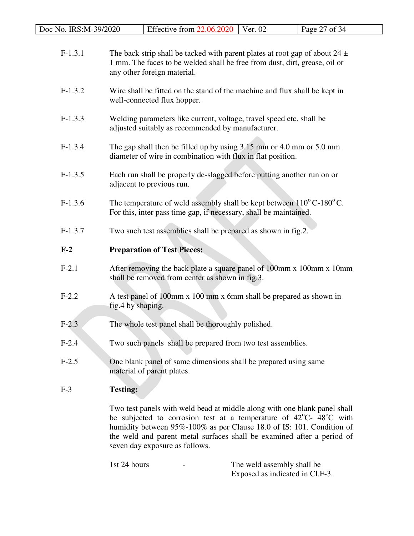| Doc No. IRS:M-39/2020 | Effective from 22.06.2020                                                                                                                                                                                                                                                                                                                                | Ver. 02                                                                                                                   | Page 27 of 34 |  |  |  |  |
|-----------------------|----------------------------------------------------------------------------------------------------------------------------------------------------------------------------------------------------------------------------------------------------------------------------------------------------------------------------------------------------------|---------------------------------------------------------------------------------------------------------------------------|---------------|--|--|--|--|
| $F-1.3.1$             | The back strip shall be tacked with parent plates at root gap of about $24 \pm$<br>1 mm. The faces to be welded shall be free from dust, dirt, grease, oil or<br>any other foreign material.                                                                                                                                                             |                                                                                                                           |               |  |  |  |  |
| $F-1.3.2$             | well-connected flux hopper.                                                                                                                                                                                                                                                                                                                              | Wire shall be fitted on the stand of the machine and flux shall be kept in                                                |               |  |  |  |  |
| $F-1.3.3$             |                                                                                                                                                                                                                                                                                                                                                          | Welding parameters like current, voltage, travel speed etc. shall be<br>adjusted suitably as recommended by manufacturer. |               |  |  |  |  |
| $F-1.3.4$             | The gap shall then be filled up by using $3.15$ mm or $4.0$ mm or $5.0$ mm<br>diameter of wire in combination with flux in flat position.                                                                                                                                                                                                                |                                                                                                                           |               |  |  |  |  |
| $F-1.3.5$             | Each run shall be properly de-slagged before putting another run on or<br>adjacent to previous run.                                                                                                                                                                                                                                                      |                                                                                                                           |               |  |  |  |  |
| $F-1.3.6$             | The temperature of weld assembly shall be kept between $110^{\circ}$ C-180 <sup>°</sup> C.<br>For this, inter pass time gap, if necessary, shall be maintained.                                                                                                                                                                                          |                                                                                                                           |               |  |  |  |  |
| $F-1.3.7$             | Two such test assemblies shall be prepared as shown in fig.2.                                                                                                                                                                                                                                                                                            |                                                                                                                           |               |  |  |  |  |
| $F-2$                 | <b>Preparation of Test Pieces:</b>                                                                                                                                                                                                                                                                                                                       |                                                                                                                           |               |  |  |  |  |
| $F-2.1$               | After removing the back plate a square panel of 100mm x 100mm x 10mm<br>shall be removed from center as shown in fig.3.                                                                                                                                                                                                                                  |                                                                                                                           |               |  |  |  |  |
| $F-2.2$               | A test panel of 100mm x 100 mm x 6mm shall be prepared as shown in<br>fig.4 by shaping.                                                                                                                                                                                                                                                                  |                                                                                                                           |               |  |  |  |  |
| $F-2.3$               | The whole test panel shall be thoroughly polished.                                                                                                                                                                                                                                                                                                       |                                                                                                                           |               |  |  |  |  |
| $F-2.4$               | Two such panels shall be prepared from two test assemblies.                                                                                                                                                                                                                                                                                              |                                                                                                                           |               |  |  |  |  |
| $F-2.5$               | One blank panel of same dimensions shall be prepared using same<br>material of parent plates.                                                                                                                                                                                                                                                            |                                                                                                                           |               |  |  |  |  |
| $F-3$                 | <b>Testing:</b>                                                                                                                                                                                                                                                                                                                                          |                                                                                                                           |               |  |  |  |  |
|                       | Two test panels with weld bead at middle along with one blank panel shall<br>be subjected to corrosion test at a temperature of $42^{\circ}$ C- $48^{\circ}$ C with<br>humidity between 95%-100% as per Clause 18.0 of IS: 101. Condition of<br>the weld and parent metal surfaces shall be examined after a period of<br>seven day exposure as follows. |                                                                                                                           |               |  |  |  |  |

1st 24 hours - The weld assembly shall be Exposed as indicated in Cl.F-3.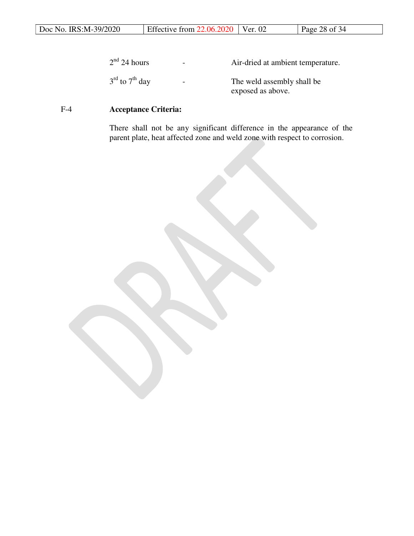| 2 <sup>nd</sup> 24 hours               | $\overline{\phantom{a}}$ | Air-dried at ambient temperature.               |
|----------------------------------------|--------------------------|-------------------------------------------------|
| $3^{\text{rd}}$ to $7^{\text{th}}$ day | $\overline{\phantom{0}}$ | The weld assembly shall be<br>exposed as above. |

# F-4 **Acceptance Criteria:**

 There shall not be any significant difference in the appearance of the parent plate, heat affected zone and weld zone with respect to corrosion.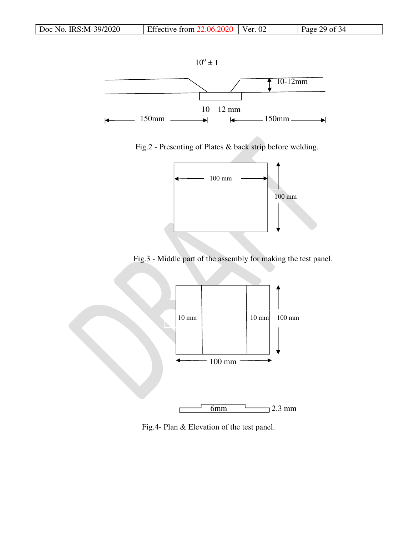

Fig.2 - Presenting of Plates & back strip before welding.



Fig.3 - Middle part of the assembly for making the test panel.



Fig.4- Plan & Elevation of the test panel.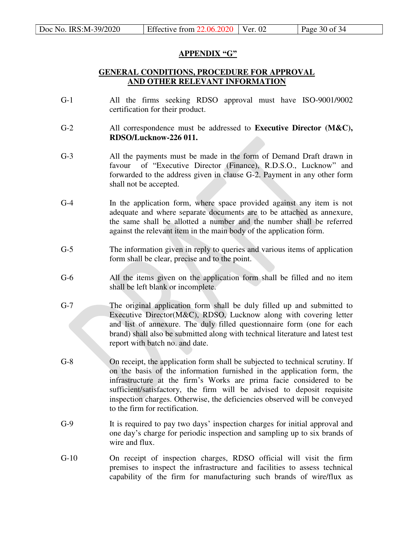# **APPENDIX "G"**

# **GENERAL CONDITIONS, PROCEDURE FOR APPROVAL AND OTHER RELEVANT INFORMATION**

- G-1 All the firms seeking RDSO approval must have ISO-9001/9002 certification for their product.
- G-2 All correspondence must be addressed to **Executive Director (M&C), RDSO/Lucknow-226 011.**
- G-3 All the payments must be made in the form of Demand Draft drawn in favour of "Executive Director (Finance), R.D.S.O., Lucknow" and forwarded to the address given in clause G-2. Payment in any other form shall not be accepted.
- G-4 In the application form, where space provided against any item is not adequate and where separate documents are to be attached as annexure, the same shall be allotted a number and the number shall be referred against the relevant item in the main body of the application form.
- G-5 The information given in reply to queries and various items of application form shall be clear, precise and to the point.
- G-6 All the items given on the application form shall be filled and no item shall be left blank or incomplete.
- G-7 The original application form shall be duly filled up and submitted to Executive Director(M&C), RDSO, Lucknow along with covering letter and list of annexure. The duly filled questionnaire form (one for each brand) shall also be submitted along with technical literature and latest test report with batch no. and date.
- G-8 On receipt, the application form shall be subjected to technical scrutiny. If on the basis of the information furnished in the application form, the infrastructure at the firm's Works are prima facie considered to be sufficient/satisfactory, the firm will be advised to deposit requisite inspection charges. Otherwise, the deficiencies observed will be conveyed to the firm for rectification.
- G-9 It is required to pay two days' inspection charges for initial approval and one day's charge for periodic inspection and sampling up to six brands of wire and flux.
- G-10 On receipt of inspection charges, RDSO official will visit the firm premises to inspect the infrastructure and facilities to assess technical capability of the firm for manufacturing such brands of wire/flux as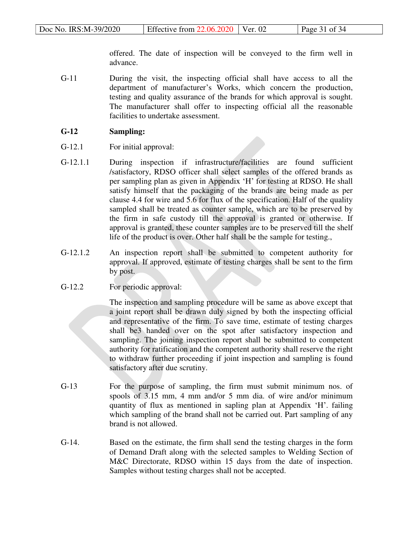offered. The date of inspection will be conveyed to the firm well in advance.

G-11 During the visit, the inspecting official shall have access to all the department of manufacturer's Works, which concern the production, testing and quality assurance of the brands for which approval is sought. The manufacturer shall offer to inspecting official all the reasonable facilities to undertake assessment.

# **G-12 Sampling:**

- G-12.1 For initial approval:
- G-12.1.1 During inspection if infrastructure/facilities are found sufficient /satisfactory, RDSO officer shall select samples of the offered brands as per sampling plan as given in Appendix 'H' for testing at RDSO. He shall satisfy himself that the packaging of the brands are being made as per clause 4.4 for wire and 5.6 for flux of the specification. Half of the quality sampled shall be treated as counter sample, which are to be preserved by the firm in safe custody till the approval is granted or otherwise. If approval is granted, these counter samples are to be preserved till the shelf life of the product is over. Other half shall be the sample for testing.,
- G-12.1.2 An inspection report shall be submitted to competent authority for approval. If approved, estimate of testing charges shall be sent to the firm by post.
- G-12.2 For periodic approval:

 The inspection and sampling procedure will be same as above except that a joint report shall be drawn duly signed by both the inspecting official and representative of the firm. To save time, estimate of testing charges shall be3 handed over on the spot after satisfactory inspection and sampling. The joining inspection report shall be submitted to competent authority for ratification and the competent authority shall reserve the right to withdraw further proceeding if joint inspection and sampling is found satisfactory after due scrutiny.

- G-13 For the purpose of sampling, the firm must submit minimum nos. of spools of 3.15 mm, 4 mm and/or 5 mm dia. of wire and/or minimum quantity of flux as mentioned in sapling plan at Appendix 'H'. failing which sampling of the brand shall not be carried out. Part sampling of any brand is not allowed.
- G-14. Based on the estimate, the firm shall send the testing charges in the form of Demand Draft along with the selected samples to Welding Section of M&C Directorate, RDSO within 15 days from the date of inspection. Samples without testing charges shall not be accepted.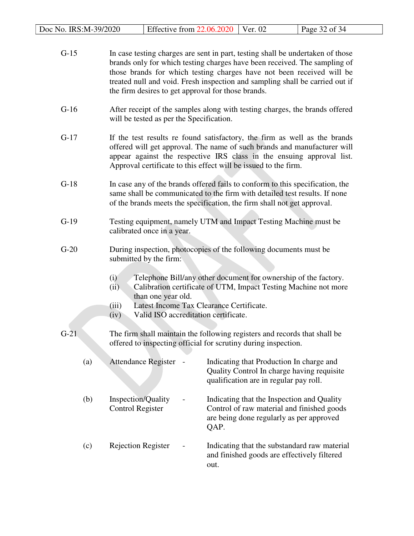| Doc No. IRS:M-39/2020 | Effective from $22.06.2020$                                                                                                                                                                                                                                                                                                                                                 | Ver. 02                                                                                                                                      | Page 32 of 34 |
|-----------------------|-----------------------------------------------------------------------------------------------------------------------------------------------------------------------------------------------------------------------------------------------------------------------------------------------------------------------------------------------------------------------------|----------------------------------------------------------------------------------------------------------------------------------------------|---------------|
| $G-15$                | In case testing charges are sent in part, testing shall be undertaken of those<br>brands only for which testing charges have been received. The sampling of<br>those brands for which testing charges have not been received will be<br>treated null and void. Fresh inspection and sampling shall be carried out if<br>the firm desires to get approval for those brands.  |                                                                                                                                              |               |
| $G-16$                | After receipt of the samples along with testing charges, the brands offered<br>will be tested as per the Specification.                                                                                                                                                                                                                                                     |                                                                                                                                              |               |
| $G-17$                | If the test results re found satisfactory, the firm as well as the brands<br>offered will get approval. The name of such brands and manufacturer will<br>appear against the respective IRS class in the ensuing approval list.<br>Approval certificate to this effect will be issued to the firm.                                                                           |                                                                                                                                              |               |
| $G-18$                | In case any of the brands offered fails to conform to this specification, the<br>same shall be communicated to the firm with detailed test results. If none<br>of the brands meets the specification, the firm shall not get approval.                                                                                                                                      |                                                                                                                                              |               |
| $G-19$                | Testing equipment, namely UTM and Impact Testing Machine must be<br>calibrated once in a year.                                                                                                                                                                                                                                                                              |                                                                                                                                              |               |
| $G-20$                | During inspection, photocopies of the following documents must be<br>submitted by the firm:<br>Telephone Bill/any other document for ownership of the factory.<br>(i)<br>Calibration certificate of UTM, Impact Testing Machine not more<br>(ii)<br>than one year old.<br>Latest Income Tax Clearance Certificate.<br>(iii)<br>Valid ISO accreditation certificate.<br>(iv) |                                                                                                                                              |               |
| $G-21$                | The firm shall maintain the following registers and records that shall be<br>offered to inspecting official for scrutiny during inspection.                                                                                                                                                                                                                                 |                                                                                                                                              |               |
| (a)                   | <b>Attendance Register</b>                                                                                                                                                                                                                                                                                                                                                  | Indicating that Production In charge and<br>Quality Control In charge having requisite<br>qualification are in regular pay roll.             |               |
| (b)                   | Inspection/Quality<br><b>Control Register</b>                                                                                                                                                                                                                                                                                                                               | Indicating that the Inspection and Quality<br>Control of raw material and finished goods<br>are being done regularly as per approved<br>QAP. |               |

 (c) Rejection Register - Indicating that the substandard raw material and finished goods are effectively filtered out.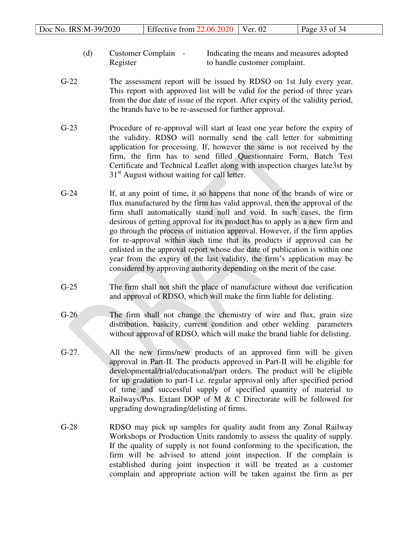| Doc No. IRS:M-39/2020<br>Page 33 of $34$<br>Effective from $22.06.2020$ Ver. 02 |  |
|---------------------------------------------------------------------------------|--|
|---------------------------------------------------------------------------------|--|

- (d) Customer Complain Indicating the means and measures adopted Register to handle customer complaint.
- G-22 The assessment report will be issued by RDSO on 1st July every year. This report with approved list will be valid for the period of three years from the due date of issue of the report. After expiry of the validity period, the brands have to be re-assessed for further approval.
- G-23 Procedure of re-approval will start at least one year before the expiry of the validity. RDSO will normally send the call letter for submitting application for processing. If, however the same is not received by the firm, the firm has to send filled Questionnaire Form, Batch Test Certificate and Technical Leaflet along with inspection charges late3st by 31<sup>st</sup> August without waiting for call letter.
- G-24 If, at any point of time, it so happens that none of the brands of wire or flux manufactured by the firm has valid approval, then the approval of the firm shall automatically stand null and void. In such cases, the firm desirous of getting approval for its product has to apply as a new firm and go through the process of initiation approval. However, if the firm applies for re-approval within such time that its products if approved can be enlisted in the approval report whose due date of publication is within one year from the expiry of the last validity, the firm's application may be considered by approving authority depending on the merit of the case.
- G-25 The firm shall not shift the place of manufacture without due verification and approval of RDSO, which will make the firm liable for delisting.
- G-26 The firm shall not change the chemistry of wire and flux, grain size distribution, basicity, current condition and other welding parameters without approval of RDSO, which will make the brand liable for delisting.
- G-27. All the new firms/new products of an approved firm will be given approval in Part-II. The products approved in Part-II will be eligible for developmental/trial/educational/part orders. The product will be eligible for up gradation to part-I i.e. regular approval only after specified period of time and successful supply of specified quantity of material to Railways/Pus. Extant DOP of M & C Directorate will be followed for upgrading downgrading/delisting of firms.
- G-28 RDSO may pick up samples for quality audit from any Zonal Railway Workshops or Production Units randomly to assess the quality of supply. If the quality of supply is not found conforming to the specification, the firm will be advised to attend joint inspection. If the complain is established during joint inspection it will be treated as a customer complain and appropriate action will be taken against the firm as per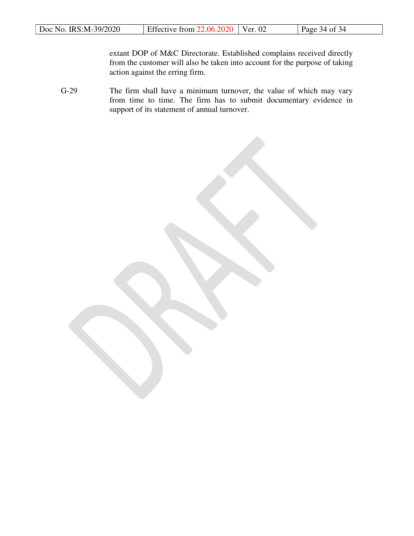extant DOP of M&C Directorate. Established complains received directly from the customer will also be taken into account for the purpose of taking action against the erring firm.

G-29 The firm shall have a minimum turnover, the value of which may vary from time to time. The firm has to submit documentary evidence in support of its statement of annual turnover.